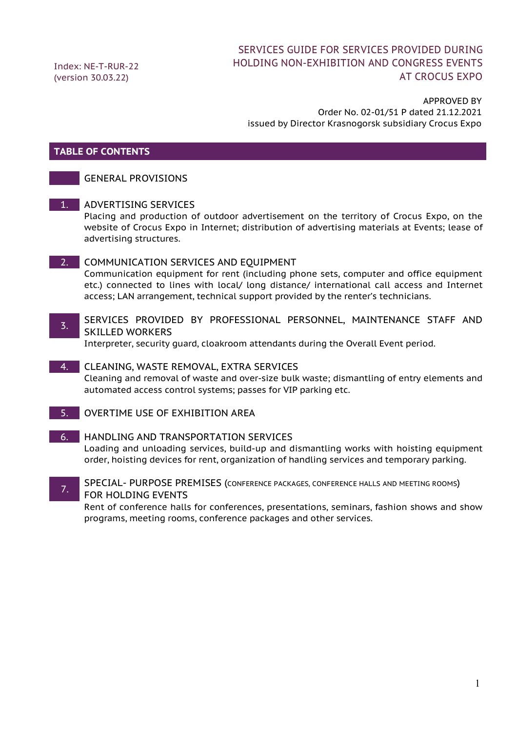Index: NE-T-RUR-22 (version 30.03.22)

### SERVICES GUIDE FOR SERVICES PROVIDED DURING HOLDING NON-EXHIBITION AND CONGRESS EVENTS AT CROCUS EXPO

#### APPROVED BY Order No. 02-01/51 P dated 21.12.2021 issued by Director Krasnogorsk subsidiary Crocus Expo

#### **TABLE OF CONTENTS**

#### GENERAL PROVISIONS

1. ADVERTISING SERVICES

Placing and production of outdoor advertisement on the territory of Crocus Expo, on the website of Crocus Expo in Internet; distribution of advertising materials at Events; lease of advertising structures.

#### 2. COMMUNICATION SERVICES AND EOUIPMENT

Communication equipment for rent (including phone sets, computer and office equipment etc.) connected to lines with local/ long distance/ international call access and Internet access; LAN arrangement, technical support provided by the renter's technicians.

#### 3. SERVICES PROVIDED BY PROFESSIONAL PERSONNEL, MAINTENANCE STAFF AND SKILLED WORKERS

Interpreter, security guard, cloakroom attendants during the Overall Event period.

4. CLEANING, WASTE REMOVAL, EXTRA SERVICES Cleaning and removal of waste and over-size bulk waste; dismantling of entry elements and automated access control systems; passes for VIP parking etc.

5. OVERTIME USE OF EXHIBITION AREA

#### 6. HANDLING AND TRANSPORTATION SERVICES Loading and unloading services, build-up and dismantling works with hoisting equipment order, hoisting devices for rent, organization of handling services and temporary parking.

**SPECIAL- PURPOSE PREMISES (CONFERENCE PACKAGES, CONFERENCE HALLS AND MEETING ROOMS)** FOR HOLDING EVENTS

Rent of conference halls for conferences, presentations, seminars, fashion shows and show programs, meeting rooms, conference packages and other services.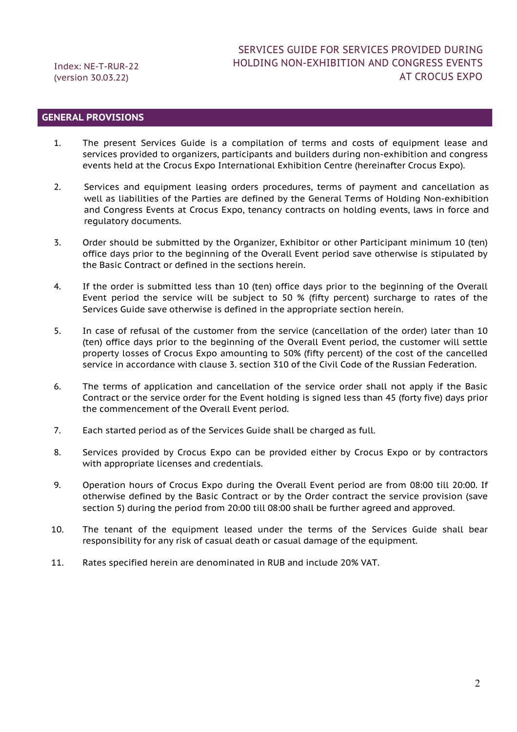#### **GENERAL PROVISIONS**

- 1. The present Services Guide is a compilation of terms and costs of equipment lease and services provided to organizers, participants and builders during non-exhibition and congress events held at the Crocus Expo International Exhibition Centre (hereinafter Crocus Expo).
- 2. Services and equipment leasing orders procedures, terms of payment and cancellation as well as liabilities of the Parties are defined by the General Terms of Holding Non-exhibition and Congress Events at Crocus Expo, tenancy contracts on holding events, laws in force and regulatory documents.
- 3. Order should be submitted by the Organizer, Exhibitor or other Participant minimum 10 (ten) office days prior to the beginning of the Overall Event period save otherwise is stipulated by the Basic Contract or defined in the sections herein.
- 4. If the order is submitted less than 10 (ten) office days prior to the beginning of the Overall Event period the service will be subject to 50 % (fifty percent) surcharge to rates of the Services Guide save otherwise is defined in the appropriate section herein.
- 5. In case of refusal of the customer from the service (cancellation of the order) later than 10 (ten) office days prior to the beginning of the Overall Event period, the customer will settle property losses of Crocus Expo amounting to 50% (fifty percent) of the cost of the cancelled service in accordance with clause 3. section 310 of the Civil Code of the Russian Federation.
- 6. The terms of application and cancellation of the service order shall not apply if the Basic Contract or the service order for the Event holding is signed less than 45 (forty five) days prior the commencement of the Overall Event period.
- 7. Each started period as of the Services Guide shall be charged as full.
- 8. Services provided by Crocus Expo can be provided either by Crocus Expo or by contractors with appropriate licenses and credentials.
- 9. Operation hours of Crocus Expo during the Overall Event period are from 08:00 till 20:00. If otherwise defined by the Basic Contract or by the Order contract the service provision (save section 5) during the period from 20:00 till 08:00 shall be further agreed and approved.
- 10. The tenant of the equipment leased under the terms of the Services Guide shall bear responsibility for any risk of casual death or casual damage of the equipment.
- 11. Rates specified herein are denominated in RUB and include 20% VAT.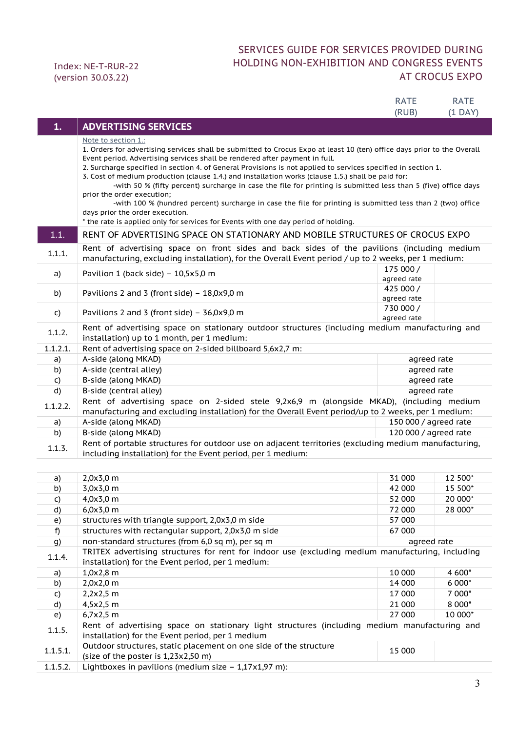### SERVICES GUIDE FOR SERVICES PROVIDED DURING HOLDING NON-EXHIBITION AND CONGRESS EVENTS AT CROCUS EXPO

|          |                                                                                                                                                                                                                                                                                                                                                                                                                                                                                                                                                                                                                                                                                                                                                                                                                                                     | <b>RATE</b>              | <b>RATE</b> |
|----------|-----------------------------------------------------------------------------------------------------------------------------------------------------------------------------------------------------------------------------------------------------------------------------------------------------------------------------------------------------------------------------------------------------------------------------------------------------------------------------------------------------------------------------------------------------------------------------------------------------------------------------------------------------------------------------------------------------------------------------------------------------------------------------------------------------------------------------------------------------|--------------------------|-------------|
| 1.       | <b>ADVERTISING SERVICES</b>                                                                                                                                                                                                                                                                                                                                                                                                                                                                                                                                                                                                                                                                                                                                                                                                                         | (RUB)                    | $(1$ DAY)   |
|          | <u>Note to section 1.:</u><br>1. Orders for advertising services shall be submitted to Crocus Expo at least 10 (ten) office days prior to the Overall<br>Event period. Advertising services shall be rendered after payment in full.<br>2. Surcharge specified in section 4. of General Provisions is not applied to services specified in section 1.<br>3. Cost of medium production (clause 1.4.) and installation works (clause 1.5.) shall be paid for:<br>-with 50 % (fifty percent) surcharge in case the file for printing is submitted less than 5 (five) office days<br>prior the order execution;<br>-with 100 % (hundred percent) surcharge in case the file for printing is submitted less than 2 (two) office<br>days prior the order execution.<br>* the rate is applied only for services for Events with one day period of holding. |                          |             |
| 1.1.     | RENT OF ADVERTISING SPACE ON STATIONARY AND MOBILE STRUCTURES OF CROCUS EXPO                                                                                                                                                                                                                                                                                                                                                                                                                                                                                                                                                                                                                                                                                                                                                                        |                          |             |
| 1.1.1.   | Rent of advertising space on front sides and back sides of the pavilions (including medium<br>manufacturing, excluding installation), for the Overall Event period / up to 2 weeks, per 1 medium:                                                                                                                                                                                                                                                                                                                                                                                                                                                                                                                                                                                                                                                   |                          |             |
| a)       | Pavilion 1 (back side) - $10,5x5,0$ m                                                                                                                                                                                                                                                                                                                                                                                                                                                                                                                                                                                                                                                                                                                                                                                                               | 175 000 /<br>agreed rate |             |
| b)       | Pavilions 2 and 3 (front side) $-18,0x9,0$ m                                                                                                                                                                                                                                                                                                                                                                                                                                                                                                                                                                                                                                                                                                                                                                                                        | 425 000 /<br>agreed rate |             |
| C)       | Pavilions 2 and 3 (front side) $-$ 36,0x9,0 m                                                                                                                                                                                                                                                                                                                                                                                                                                                                                                                                                                                                                                                                                                                                                                                                       | 730 000 /<br>agreed rate |             |
| 1.1.2.   | Rent of advertising space on stationary outdoor structures (including medium manufacturing and<br>installation) up to 1 month, per 1 medium:                                                                                                                                                                                                                                                                                                                                                                                                                                                                                                                                                                                                                                                                                                        |                          |             |
| 1.1.2.1. | Rent of advertising space on 2-sided billboard 5,6x2,7 m:                                                                                                                                                                                                                                                                                                                                                                                                                                                                                                                                                                                                                                                                                                                                                                                           |                          |             |
| a)       | A-side (along MKAD)                                                                                                                                                                                                                                                                                                                                                                                                                                                                                                                                                                                                                                                                                                                                                                                                                                 | agreed rate              |             |
| b)       | A-side (central alley)                                                                                                                                                                                                                                                                                                                                                                                                                                                                                                                                                                                                                                                                                                                                                                                                                              | agreed rate              |             |
| C)       | B-side (along MKAD)                                                                                                                                                                                                                                                                                                                                                                                                                                                                                                                                                                                                                                                                                                                                                                                                                                 | agreed rate              |             |
| d)       | B-side (central alley)                                                                                                                                                                                                                                                                                                                                                                                                                                                                                                                                                                                                                                                                                                                                                                                                                              | agreed rate              |             |
| 1.1.2.2. | Rent of advertising space on 2-sided stele 9,2x6,9 m (alongside MKAD), (including medium<br>manufacturing and excluding installation) for the Overall Event period/up to 2 weeks, per 1 medium:                                                                                                                                                                                                                                                                                                                                                                                                                                                                                                                                                                                                                                                     |                          |             |
| a)       | A-side (along MKAD)                                                                                                                                                                                                                                                                                                                                                                                                                                                                                                                                                                                                                                                                                                                                                                                                                                 | 150 000 / agreed rate    |             |
| b)       | B-side (along MKAD)                                                                                                                                                                                                                                                                                                                                                                                                                                                                                                                                                                                                                                                                                                                                                                                                                                 | 120 000 / agreed rate    |             |
| 1.1.3.   | Rent of portable structures for outdoor use on adjacent territories (excluding medium manufacturing,<br>including installation) for the Event period, per 1 medium:                                                                                                                                                                                                                                                                                                                                                                                                                                                                                                                                                                                                                                                                                 |                          |             |
|          |                                                                                                                                                                                                                                                                                                                                                                                                                                                                                                                                                                                                                                                                                                                                                                                                                                                     |                          |             |
| a)       | $2,0x3,0$ m                                                                                                                                                                                                                                                                                                                                                                                                                                                                                                                                                                                                                                                                                                                                                                                                                                         | 31 000                   | 12 500*     |
| b)       | 3,0x3,0 m                                                                                                                                                                                                                                                                                                                                                                                                                                                                                                                                                                                                                                                                                                                                                                                                                                           | 42 000                   | 15 500*     |
| C)       | 4,0x3,0 m                                                                                                                                                                                                                                                                                                                                                                                                                                                                                                                                                                                                                                                                                                                                                                                                                                           | 52 000                   | 20 000*     |
| d)       | 6,0x3,0 m                                                                                                                                                                                                                                                                                                                                                                                                                                                                                                                                                                                                                                                                                                                                                                                                                                           | 72 000                   | 28 000*     |
| e)       | structures with triangle support, 2,0x3,0 m side                                                                                                                                                                                                                                                                                                                                                                                                                                                                                                                                                                                                                                                                                                                                                                                                    | 57 000                   |             |
| f)       | structures with rectangular support, 2,0x3,0 m side                                                                                                                                                                                                                                                                                                                                                                                                                                                                                                                                                                                                                                                                                                                                                                                                 | 67 000                   |             |
| g)       | non-standard structures (from 6,0 sq m), per sq m                                                                                                                                                                                                                                                                                                                                                                                                                                                                                                                                                                                                                                                                                                                                                                                                   | agreed rate              |             |
| 1.1.4.   | TRITEX advertising structures for rent for indoor use (excluding medium manufacturing, including<br>installation) for the Event period, per 1 medium:                                                                                                                                                                                                                                                                                                                                                                                                                                                                                                                                                                                                                                                                                               |                          |             |
| a)       | $1,0x2,8$ m                                                                                                                                                                                                                                                                                                                                                                                                                                                                                                                                                                                                                                                                                                                                                                                                                                         | 10 000                   | 4 600*      |
| b)       | 2,0x2,0 m                                                                                                                                                                                                                                                                                                                                                                                                                                                                                                                                                                                                                                                                                                                                                                                                                                           | 14 000                   | 6 000*      |
| C)       | $2,2x2,5$ m                                                                                                                                                                                                                                                                                                                                                                                                                                                                                                                                                                                                                                                                                                                                                                                                                                         | 17 000                   | 7 000*      |
| d)       | 4,5x2,5 m                                                                                                                                                                                                                                                                                                                                                                                                                                                                                                                                                                                                                                                                                                                                                                                                                                           | 21 000                   | 8 000*      |
| e)       | 6,7x2,5 m                                                                                                                                                                                                                                                                                                                                                                                                                                                                                                                                                                                                                                                                                                                                                                                                                                           | 27 000                   | 10 000*     |
| 1.1.5.   | Rent of advertising space on stationary light structures (including medium manufacturing and<br>installation) for the Event period, per 1 medium                                                                                                                                                                                                                                                                                                                                                                                                                                                                                                                                                                                                                                                                                                    |                          |             |
| 1.1.5.1. | Outdoor structures, static placement on one side of the structure<br>(size of the poster is 1,23x2,50 m)                                                                                                                                                                                                                                                                                                                                                                                                                                                                                                                                                                                                                                                                                                                                            | 15 000                   |             |
| 1.1.5.2. | Lightboxes in pavilions (medium size $-1,17x1,97$ m):                                                                                                                                                                                                                                                                                                                                                                                                                                                                                                                                                                                                                                                                                                                                                                                               |                          |             |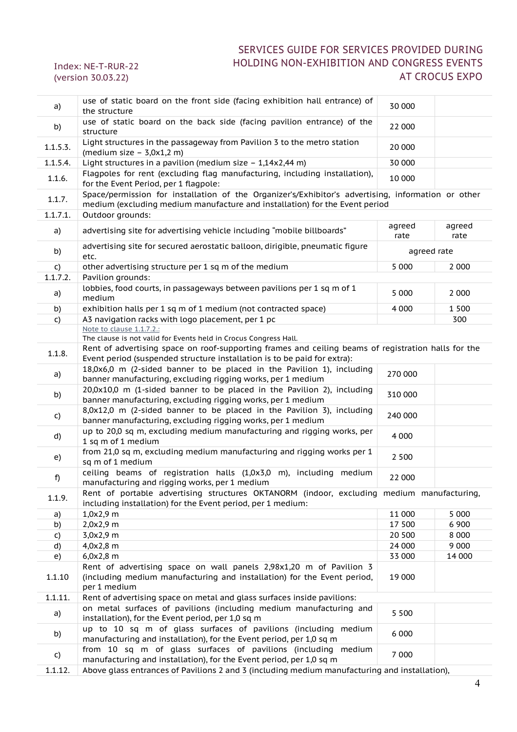Index: NE-T-RUR-22 (version 30.03.22)

| a)           | use of static board on the front side (facing exhibition hall entrance) of<br>the structure                                                                                       | 30 000         |                |
|--------------|-----------------------------------------------------------------------------------------------------------------------------------------------------------------------------------|----------------|----------------|
| b)           | use of static board on the back side (facing pavilion entrance) of the<br>structure                                                                                               | 22 000         |                |
| 1.1.5.3.     | Light structures in the passageway from Pavilion 3 to the metro station<br>(medium size $-$ 3,0x1,2 m)                                                                            | 20 000         |                |
| 1.1.5.4.     | Light structures in a pavilion (medium size $-1,14x2,44$ m)                                                                                                                       | 30 000         |                |
| 1.1.6.       | Flagpoles for rent (excluding flag manufacturing, including installation),<br>for the Event Period, per 1 flagpole:                                                               | 10 000         |                |
| 1.1.7.       | Space/permission for installation of the Organizer's/Exhibitor's advertising, information or other<br>medium (excluding medium manufacture and installation) for the Event period |                |                |
| 1.1.7.1.     | Outdoor grounds:                                                                                                                                                                  |                |                |
| a)           | advertising site for advertising vehicle including "mobile billboards"                                                                                                            | agreed<br>rate | agreed<br>rate |
| b)           | advertising site for secured aerostatic balloon, dirigible, pneumatic figure<br>etc.                                                                                              | agreed rate    |                |
| C)           | other advertising structure per 1 sq m of the medium                                                                                                                              | 5 0 0 0        | 2 0 0 0        |
| 1.1.7.2.     | Pavilion grounds:                                                                                                                                                                 |                |                |
| a)           | lobbies, food courts, in passageways between pavilions per 1 sq m of 1<br>medium                                                                                                  | 5 0 0 0        | 2 0 0 0        |
| b)           | exhibition halls per 1 sq m of 1 medium (not contracted space)                                                                                                                    | 4 0 0 0        | 1 5 0 0        |
| $\mathsf{C}$ | A3 navigation racks with logo placement, per 1 pc                                                                                                                                 |                | 300            |
|              | Note to clause 1.1.7.2.:                                                                                                                                                          |                |                |
|              | The clause is not valid for Events held in Crocus Congress Hall.                                                                                                                  |                |                |
| 1.1.8.       | Rent of advertising space on roof-supporting frames and ceiling beams of registration halls for the<br>Event period (suspended structure installation is to be paid for extra):   |                |                |
| a)           | 18,0x6,0 m (2-sided banner to be placed in the Pavilion 1), including<br>banner manufacturing, excluding rigging works, per 1 medium                                              | 270 000        |                |
| b)           | 20,0x10,0 m (1-sided banner to be placed in the Pavilion 2), including<br>banner manufacturing, excluding rigging works, per 1 medium                                             | 310 000        |                |
| C)           | 8,0x12,0 m (2-sided banner to be placed in the Pavilion 3), including<br>banner manufacturing, excluding rigging works, per 1 medium                                              | 240 000        |                |
| d)           | up to 20,0 sq m, excluding medium manufacturing and rigging works, per<br>1 sq m of 1 medium                                                                                      | 4 0 0 0        |                |
| e)           | from 21,0 sq m, excluding medium manufacturing and rigging works per 1<br>sq m of 1 medium                                                                                        | 2 500          |                |
| f)           | ceiling beams of registration halls (1,0x3,0 m), including medium<br>manufacturing and rigging works, per 1 medium                                                                | 22 000         |                |
| 1.1.9.       | Rent of portable advertising structures OKTANORM (indoor, excluding medium manufacturing,<br>including installation) for the Event period, per 1 medium:                          |                |                |
| a)           | $1,0x2,9$ m                                                                                                                                                                       | 11 000         | 5 0 0 0        |
| b)           | 2,0x2,9 m                                                                                                                                                                         | 17 500         | 6 9 0 0        |
| C)           | 3,0x2,9 m                                                                                                                                                                         | 20 500         | 8 0 0 0        |
| d)           | 4,0x2,8 m                                                                                                                                                                         | 24 000         | 9 0 0 0        |
| e)           | $6,0x2,8$ m                                                                                                                                                                       | 33 000         | 14 000         |
| 1.1.10       | Rent of advertising space on wall panels 2,98x1,20 m of Pavilion 3<br>(including medium manufacturing and installation) for the Event period,<br>per 1 medium                     | 19 000         |                |
| 1.1.11.      | Rent of advertising space on metal and glass surfaces inside pavilions:                                                                                                           |                |                |
| a)           | on metal surfaces of pavilions (including medium manufacturing and<br>installation), for the Event period, per 1,0 sq m                                                           | 5 5 0 0        |                |
| b)           | up to 10 sq m of glass surfaces of pavilions (including medium<br>manufacturing and installation), for the Event period, per 1,0 sq m                                             | 6 0 0 0        |                |
| C)           | from 10 sq m of glass surfaces of pavilions (including medium<br>manufacturing and installation), for the Event period, per 1,0 sq m                                              | 7 000          |                |
| 1.1.12       | Above glass entrances of Pavilions 2 and 3 (including medium manufacturing and installation).                                                                                     |                |                |

1.1.12. Above glass entrances of Pavilions 2 and 3 (including medium manufacturing and installation),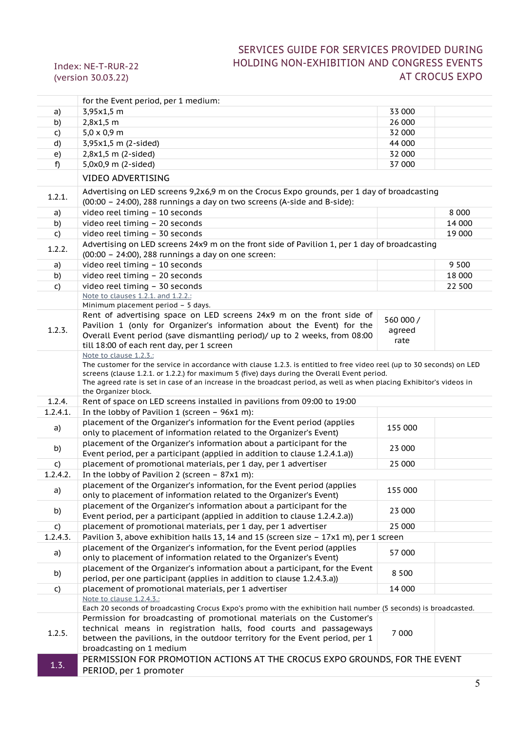|          | for the Event period, per 1 medium:                                                                                                                                                                                  |           |         |
|----------|----------------------------------------------------------------------------------------------------------------------------------------------------------------------------------------------------------------------|-----------|---------|
| a)       | 3,95x1,5 m                                                                                                                                                                                                           | 33 000    |         |
| b)       | $2,8x1,5$ m                                                                                                                                                                                                          | 26 000    |         |
| C)       | $5,0 \times 0,9$ m                                                                                                                                                                                                   | 32 000    |         |
| d)       | 3,95x1,5 m (2-sided)                                                                                                                                                                                                 | 44 000    |         |
| e)       | $2,8x1,5$ m (2-sided)                                                                                                                                                                                                | 32 000    |         |
| f)       | 5,0x0,9 m (2-sided)                                                                                                                                                                                                  | 37 000    |         |
|          | <b>VIDEO ADVERTISING</b>                                                                                                                                                                                             |           |         |
|          | Advertising on LED screens 9,2x6,9 m on the Crocus Expo grounds, per 1 day of broadcasting                                                                                                                           |           |         |
| 1.2.1.   | (00:00 - 24:00), 288 runnings a day on two screens (A-side and B-side):                                                                                                                                              |           |         |
| a)       | video reel timing - 10 seconds                                                                                                                                                                                       |           | 8 0 0 0 |
| b)       | video reel timing - 20 seconds                                                                                                                                                                                       |           | 14 000  |
| C)       | video reel timing - 30 seconds                                                                                                                                                                                       |           | 19 000  |
|          | Advertising on LED screens 24x9 m on the front side of Pavilion 1, per 1 day of broadcasting                                                                                                                         |           |         |
| 1.2.2.   | (00:00 - 24:00), 288 runnings a day on one screen:                                                                                                                                                                   |           |         |
| a)       | video reel timing - 10 seconds                                                                                                                                                                                       |           | 9 5 0 0 |
| b)       | video reel timing - 20 seconds                                                                                                                                                                                       |           | 18 000  |
| C)       | video reel timing - 30 seconds                                                                                                                                                                                       |           | 22 500  |
|          | Note to clauses 1.2.1. and 1.2.2.:                                                                                                                                                                                   |           |         |
|          | Minimum placement period - 5 days.                                                                                                                                                                                   |           |         |
|          | Rent of advertising space on LED screens 24x9 m on the front side of                                                                                                                                                 | 560 000 / |         |
| 1.2.3.   | Pavilion 1 (only for Organizer's information about the Event) for the                                                                                                                                                | agreed    |         |
|          | Overall Event period (save dismantling period)/ up to 2 weeks, from 08:00                                                                                                                                            | rate      |         |
|          | till 18:00 of each rent day, per 1 screen                                                                                                                                                                            |           |         |
|          | Note to clause 1.2.3.:                                                                                                                                                                                               |           |         |
|          | The customer for the service in accordance with clause 1.2.3. is entitled to free video reel (up to 30 seconds) on LED                                                                                               |           |         |
|          | screens (clause 1.2.1. or 1.2.2.) for maximum 5 (five) days during the Overall Event period.<br>The agreed rate is set in case of an increase in the broadcast period, as well as when placing Exhibitor's videos in |           |         |
|          | the Organizer block.                                                                                                                                                                                                 |           |         |
| 1.2.4.   | Rent of space on LED screens installed in pavilions from 09:00 to 19:00                                                                                                                                              |           |         |
| 1.2.4.1. | In the lobby of Pavilion 1 (screen - 96x1 m):                                                                                                                                                                        |           |         |
|          | placement of the Organizer's information for the Event period (applies                                                                                                                                               |           |         |
| a)       | only to placement of information related to the Organizer's Event)                                                                                                                                                   | 155 000   |         |
|          | placement of the Organizer's information about a participant for the                                                                                                                                                 |           |         |
| b)       | Event period, per a participant (applied in addition to clause 1.2.4.1.a))                                                                                                                                           | 23 000    |         |
| C)       | placement of promotional materials, per 1 day, per 1 advertiser                                                                                                                                                      | 25 000    |         |
| 1.2.4.2. | In the lobby of Pavilion 2 (screen - 87x1 m):                                                                                                                                                                        |           |         |
|          | placement of the Organizer's information, for the Event period (applies                                                                                                                                              |           |         |
| a)       | only to placement of information related to the Organizer's Event)                                                                                                                                                   | 155 000   |         |
|          | placement of the Organizer's information about a participant for the                                                                                                                                                 |           |         |
| b)       | Event period, per a participant (applied in addition to clause 1.2.4.2.a))                                                                                                                                           | 23 000    |         |
| C)       | placement of promotional materials, per 1 day, per 1 advertiser                                                                                                                                                      | 25 000    |         |
| 1.2.4.3. | Pavilion 3, above exhibition halls 13, 14 and 15 (screen size - 17x1 m), per 1 screen                                                                                                                                |           |         |
|          | placement of the Organizer's information, for the Event period (applies                                                                                                                                              |           |         |
| a)       | only to placement of information related to the Organizer's Event)                                                                                                                                                   | 57 000    |         |
|          | placement of the Organizer's information about a participant, for the Event                                                                                                                                          | 8 5 0 0   |         |
| b)       | period, per one participant (applies in addition to clause 1.2.4.3.a))                                                                                                                                               |           |         |
| C)       | placement of promotional materials, per 1 advertiser                                                                                                                                                                 | 14 000    |         |
|          | Note to clause 1.2.4.3.:                                                                                                                                                                                             |           |         |
|          | Each 20 seconds of broadcasting Crocus Expo's promo with the exhibition hall number (5 seconds) is broadcasted.                                                                                                      |           |         |
|          | Permission for broadcasting of promotional materials on the Customer's                                                                                                                                               |           |         |
| 1.2.5.   | technical means in registration halls, food courts and passageways                                                                                                                                                   | 7 000     |         |
|          | between the pavilions, in the outdoor territory for the Event period, per 1                                                                                                                                          |           |         |
|          |                                                                                                                                                                                                                      |           |         |
|          | broadcasting on 1 medium                                                                                                                                                                                             |           |         |
| 1.3.     | PERMISSION FOR PROMOTION ACTIONS AT THE CROCUS EXPO GROUNDS, FOR THE EVENT<br>PERIOD, per 1 promoter                                                                                                                 |           |         |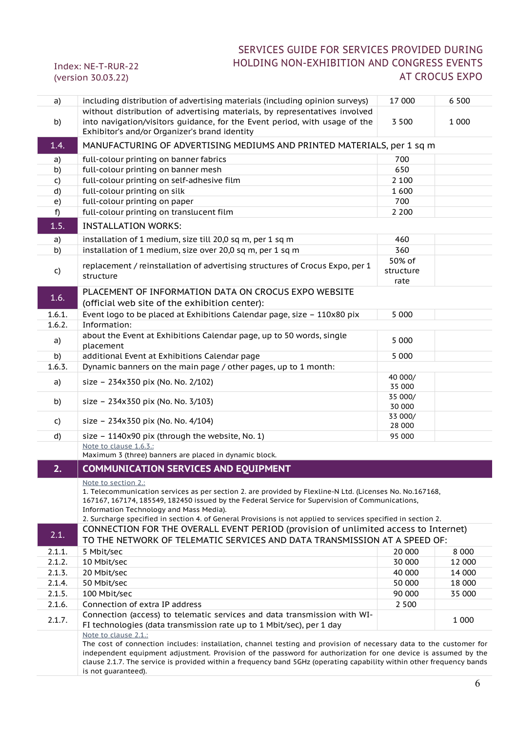| a)     | including distribution of advertising materials (including opinion surveys)                                                                                                                                                                                                                                                                                                                    | 17 000                      | 6 5 0 0 |
|--------|------------------------------------------------------------------------------------------------------------------------------------------------------------------------------------------------------------------------------------------------------------------------------------------------------------------------------------------------------------------------------------------------|-----------------------------|---------|
| b)     | without distribution of advertising materials, by representatives involved<br>into navigation/visitors guidance, for the Event period, with usage of the<br>Exhibitor's and/or Organizer's brand identity                                                                                                                                                                                      | 3 5 0 0                     | 1 0 0 0 |
| 1.4.   | MANUFACTURING OF ADVERTISING MEDIUMS AND PRINTED MATERIALS, per 1 sq m                                                                                                                                                                                                                                                                                                                         |                             |         |
| a)     | full-colour printing on banner fabrics                                                                                                                                                                                                                                                                                                                                                         | 700                         |         |
| b)     | full-colour printing on banner mesh                                                                                                                                                                                                                                                                                                                                                            | 650                         |         |
| C)     | full-colour printing on self-adhesive film                                                                                                                                                                                                                                                                                                                                                     | 2 1 0 0                     |         |
| d)     | full-colour printing on silk                                                                                                                                                                                                                                                                                                                                                                   | 1 600                       |         |
| e)     | full-colour printing on paper                                                                                                                                                                                                                                                                                                                                                                  | 700                         |         |
| f)     | full-colour printing on translucent film                                                                                                                                                                                                                                                                                                                                                       | 2 2 0 0                     |         |
| 1.5.   | <b>INSTALLATION WORKS:</b>                                                                                                                                                                                                                                                                                                                                                                     |                             |         |
| a)     | installation of 1 medium, size till 20,0 sq m, per 1 sq m                                                                                                                                                                                                                                                                                                                                      | 460                         |         |
| b)     | installation of 1 medium, size over 20,0 sq m, per 1 sq m                                                                                                                                                                                                                                                                                                                                      | 360                         |         |
| C)     | replacement / reinstallation of advertising structures of Crocus Expo, per 1<br>structure                                                                                                                                                                                                                                                                                                      | 50% of<br>structure<br>rate |         |
|        | PLACEMENT OF INFORMATION DATA ON CROCUS EXPO WEBSITE                                                                                                                                                                                                                                                                                                                                           |                             |         |
| 1.6.   | (official web site of the exhibition center):                                                                                                                                                                                                                                                                                                                                                  |                             |         |
| 1.6.1. | Event logo to be placed at Exhibitions Calendar page, size - 110x80 pix                                                                                                                                                                                                                                                                                                                        | 5 0 0 0                     |         |
| 1.6.2. | Information:                                                                                                                                                                                                                                                                                                                                                                                   |                             |         |
| a)     | about the Event at Exhibitions Calendar page, up to 50 words, single<br>placement                                                                                                                                                                                                                                                                                                              | 5 0 0 0                     |         |
| b)     | additional Event at Exhibitions Calendar page                                                                                                                                                                                                                                                                                                                                                  | 5 0 0 0                     |         |
| 1.6.3. | Dynamic banners on the main page / other pages, up to 1 month:                                                                                                                                                                                                                                                                                                                                 |                             |         |
| a)     | size - 234x350 pix (No. No. 2/102)                                                                                                                                                                                                                                                                                                                                                             | 40 000/<br>35 000           |         |
| b)     | size - 234x350 pix (No. No. 3/103)                                                                                                                                                                                                                                                                                                                                                             | 35 000/<br>30 000           |         |
| C)     | size - 234x350 pix (No. No. 4/104)                                                                                                                                                                                                                                                                                                                                                             | 33 000/<br>28 000           |         |
| d)     | size - 1140x90 pix (through the website, No. 1)                                                                                                                                                                                                                                                                                                                                                | 95 000                      |         |
|        | Note to clause 1.6.3.:<br>Maximum 3 (three) banners are placed in dynamic block.                                                                                                                                                                                                                                                                                                               |                             |         |
| 2.     | <b>COMMUNICATION SERVICES AND EQUIPMENT</b>                                                                                                                                                                                                                                                                                                                                                    |                             |         |
|        |                                                                                                                                                                                                                                                                                                                                                                                                |                             |         |
|        | Note to section 2.:<br>1. Telecommunication services as per section 2. are provided by Flexline-N Ltd. (Licenses No. No.167168,<br>167167, 167174, 185549, 182450 issued by the Federal Service for Supervision of Communications,<br>Information Technology and Mass Media).<br>2. Surcharge specified in section 4. of General Provisions is not applied to services specified in section 2. |                             |         |
| 2.1.   | CONNECTION FOR THE OVERALL EVENT PERIOD (provision of unlimited access to Internet)<br>TO THE NETWORK OF TELEMATIC SERVICES AND DATA TRANSMISSION AT A SPEED OF:                                                                                                                                                                                                                               |                             |         |
| 2.1.1. | 5 Mbit/sec                                                                                                                                                                                                                                                                                                                                                                                     | 20 000                      | 8 0 0 0 |
| 2.1.2. | 10 Mbit/sec                                                                                                                                                                                                                                                                                                                                                                                    | 30 000                      | 12 000  |
| 2.1.3. | 20 Mbit/sec                                                                                                                                                                                                                                                                                                                                                                                    | 40 000                      | 14 000  |
| 2.1.4. | 50 Mbit/sec                                                                                                                                                                                                                                                                                                                                                                                    | 50 000                      | 18 000  |
| 2.1.5. | 100 Mbit/sec                                                                                                                                                                                                                                                                                                                                                                                   | 90 000                      | 35 000  |
| 2.1.6. | Connection of extra IP address                                                                                                                                                                                                                                                                                                                                                                 | 2 5 0 0                     |         |
| 2.1.7. | Connection (access) to telematic services and data transmission with WI-<br>FI technologies (data transmission rate up to 1 Mbit/sec), per 1 day<br>Note to clause 2.1.:                                                                                                                                                                                                                       |                             | 1 0 0 0 |
|        | The cost of connection includes: installation, channel testing and provision of necessary data to the customer for<br>independent equipment adjustment. Provision of the password for authorization for one device is assumed by the<br>clause 2.1.7. The service is provided within a frequency band 5GHz (operating capability within other frequency bands<br>is not guaranteed).           |                             |         |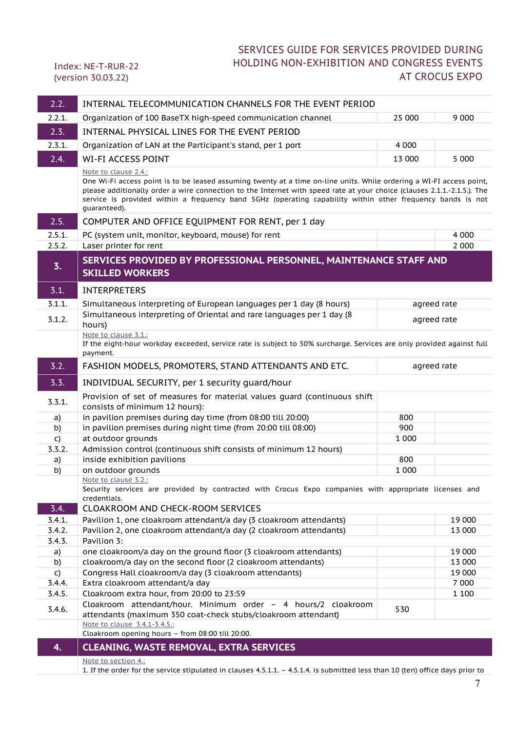| 2.2.         | INTERNAL TELECOMMUNICATION CHANNELS FOR THE EVENT PERIOD                                                                                                                                                                                                                                                                                                                                              |             |         |
|--------------|-------------------------------------------------------------------------------------------------------------------------------------------------------------------------------------------------------------------------------------------------------------------------------------------------------------------------------------------------------------------------------------------------------|-------------|---------|
| 2.2.1.       | Organization of 100 BaseTX high-speed communication channel                                                                                                                                                                                                                                                                                                                                           | 25 000      | 9 0 0 0 |
| 2.3.         | INTERNAL PHYSICAL LINES FOR THE EVENT PERIOD                                                                                                                                                                                                                                                                                                                                                          |             |         |
| 2.3.1.       | Organization of LAN at the Participant's stand, per 1 port                                                                                                                                                                                                                                                                                                                                            | 4 0 0 0     |         |
| 2.4.         | <b>WI-FI ACCESS POINT</b>                                                                                                                                                                                                                                                                                                                                                                             | 13 000      | 5 0 0 0 |
|              | Note to clause 2.4.:<br>One Wi-Fi access point is to be leased assuming twenty at a time on-line units. While ordering a WI-FI access point,<br>please additionally order a wire connection to the Internet with speed rate at your choice (clauses 2.1.1.-2.1.5.). The<br>service is provided within a frequency band 5GHz (operating capability within other frequency bands is not<br>guaranteed). |             |         |
| 2.5.         | COMPUTER AND OFFICE EQUIPMENT FOR RENT, per 1 day                                                                                                                                                                                                                                                                                                                                                     |             |         |
| 2.5.1.       | PC (system unit, monitor, keyboard, mouse) for rent                                                                                                                                                                                                                                                                                                                                                   |             | 4 0 0 0 |
| 2.5.2.       | Laser printer for rent                                                                                                                                                                                                                                                                                                                                                                                |             | 2 0 0 0 |
| 3.           | SERVICES PROVIDED BY PROFESSIONAL PERSONNEL, MAINTENANCE STAFF AND<br><b>SKILLED WORKERS</b>                                                                                                                                                                                                                                                                                                          |             |         |
| 3.1.         | <b>INTERPRETERS</b>                                                                                                                                                                                                                                                                                                                                                                                   |             |         |
| 3.1.1.       | Simultaneous interpreting of European languages per 1 day (8 hours)                                                                                                                                                                                                                                                                                                                                   | agreed rate |         |
| 3.1.2.       | Simultaneous interpreting of Oriental and rare languages per 1 day (8<br>hours)                                                                                                                                                                                                                                                                                                                       | agreed rate |         |
|              | Note to clause 3.1.:<br>If the eight-hour workday exceeded, service rate is subject to 50% surcharge. Services are only provided against full<br>payment.                                                                                                                                                                                                                                             |             |         |
| 3.2.         | FASHION MODELS, PROMOTERS, STAND ATTENDANTS AND ETC.                                                                                                                                                                                                                                                                                                                                                  | agreed rate |         |
| 3.3.         | INDIVIDUAL SECURITY, per 1 security guard/hour                                                                                                                                                                                                                                                                                                                                                        |             |         |
| 3.3.1.       | Provision of set of measures for material values guard (continuous shift<br>consists of minimum 12 hours):                                                                                                                                                                                                                                                                                            |             |         |
| a)           | in pavilion premises during day time (from 08:00 till 20:00)                                                                                                                                                                                                                                                                                                                                          | 800         |         |
| b)           | in pavilion premises during night time (from 20:00 till 08:00)                                                                                                                                                                                                                                                                                                                                        | 900         |         |
| C)           | at outdoor grounds                                                                                                                                                                                                                                                                                                                                                                                    | 1 0 0 0     |         |
| 3.3.2.       | Admission control (continuous shift consists of minimum 12 hours)                                                                                                                                                                                                                                                                                                                                     |             |         |
| a)           | inside exhibition pavilions                                                                                                                                                                                                                                                                                                                                                                           | 800         |         |
| b)           | on outdoor grounds<br>Note to clause 3.2.:                                                                                                                                                                                                                                                                                                                                                            | 1 0 0 0     |         |
| 3.4.         | Security services are provided by contracted with Crocus Expo companies with appropriate licenses and<br>credentials.<br><b>CLOAKROOM AND CHECK-ROOM SERVICES</b>                                                                                                                                                                                                                                     |             |         |
| 3.4.1.       | Pavilion 1, one cloakroom attendant/a day (3 cloakroom attendants)                                                                                                                                                                                                                                                                                                                                    |             | 19 000  |
| 3.4.2.       | Pavilion 2, one cloakroom attendant/a day (2 cloakroom attendants)                                                                                                                                                                                                                                                                                                                                    |             | 13 000  |
| 3.4.3.       | Pavilion 3:                                                                                                                                                                                                                                                                                                                                                                                           |             |         |
| a)           | one cloakroom/a day on the ground floor (3 cloakroom attendants)                                                                                                                                                                                                                                                                                                                                      |             | 19 000  |
| b)           | cloakroom/a day on the second floor (2 cloakroom attendants)                                                                                                                                                                                                                                                                                                                                          |             | 13 000  |
| $\mathsf{C}$ | Congress Hall cloakroom/a day (3 cloakroom attendants)                                                                                                                                                                                                                                                                                                                                                |             | 19 000  |
| 3.4.4.       | Extra cloakroom attendant/a day                                                                                                                                                                                                                                                                                                                                                                       |             | 7 0 0 0 |
| 3.4.5.       | Cloakroom extra hour, from 20:00 to 23:59                                                                                                                                                                                                                                                                                                                                                             |             | 1 1 0 0 |
| 3.4.6.       | Cloakroom attendant/hour. Minimum order - 4 hours/2 cloakroom<br>attendants (maximum 350 coat-check stubs/cloakroom attendant)                                                                                                                                                                                                                                                                        | 530         |         |
|              | Note to clause 3.4.1-3.4.5.:<br>Cloakroom opening hours - from 08:00 till 20:00.                                                                                                                                                                                                                                                                                                                      |             |         |
| 4.           | <b>CLEANING, WASTE REMOVAL, EXTRA SERVICES</b>                                                                                                                                                                                                                                                                                                                                                        |             |         |
|              | Note to section 4.:                                                                                                                                                                                                                                                                                                                                                                                   |             |         |
|              | 1. If the order for the service stipulated in clauses 4.5.1.1. - 4.5.1.4. is submitted less than 10 (ten) office days prior to                                                                                                                                                                                                                                                                        |             |         |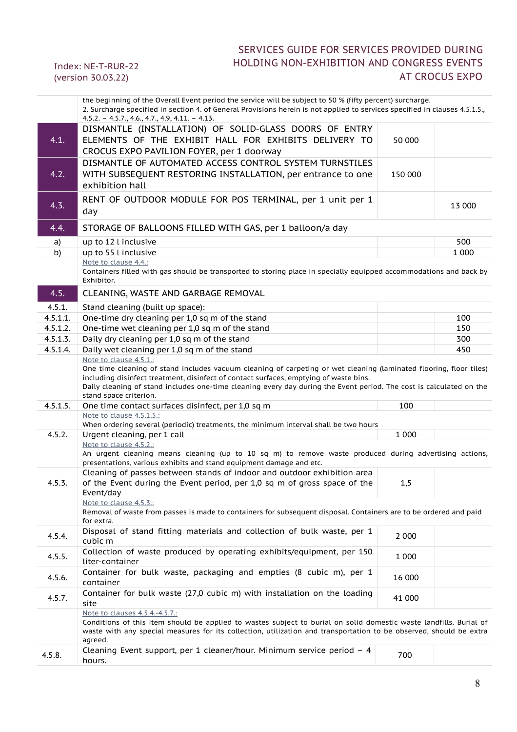|          | One time cleaning of stand includes vacuum cleaning of carpeting or wet cleaning (laminated flooring, floor tiles)<br>including disinfect treatment, disinfect of contact surfaces, emptying of waste bins.<br>Daily cleaning of stand includes one-time cleaning every day during the Event period. The cost is calculated on the |         |  |
|----------|------------------------------------------------------------------------------------------------------------------------------------------------------------------------------------------------------------------------------------------------------------------------------------------------------------------------------------|---------|--|
|          | stand space criterion.                                                                                                                                                                                                                                                                                                             |         |  |
| 4.5.1.5. | One time contact surfaces disinfect, per 1,0 sq m                                                                                                                                                                                                                                                                                  | 100     |  |
|          | Note to clause 4.5.1.5.:<br>When ordering several (periodic) treatments, the minimum interval shall be two hours                                                                                                                                                                                                                   |         |  |
| 4.5.2.   | Urgent cleaning, per 1 call                                                                                                                                                                                                                                                                                                        | 1 0 0 0 |  |
|          |                                                                                                                                                                                                                                                                                                                                    |         |  |
|          | Note to clause 4.5.2.:                                                                                                                                                                                                                                                                                                             |         |  |
|          | An urgent cleaning means cleaning (up to 10 sq m) to remove waste produced during advertising actions,                                                                                                                                                                                                                             |         |  |
|          | presentations, various exhibits and stand equipment damage and etc.                                                                                                                                                                                                                                                                |         |  |
|          | Cleaning of passes between stands of indoor and outdoor exhibition area                                                                                                                                                                                                                                                            |         |  |
| 4.5.3.   | of the Event during the Event period, per 1,0 sq m of gross space of the                                                                                                                                                                                                                                                           | 1,5     |  |
|          | Event/day                                                                                                                                                                                                                                                                                                                          |         |  |
|          | Note to clause 4.5.3.:                                                                                                                                                                                                                                                                                                             |         |  |
|          | Removal of waste from passes is made to containers for subsequent disposal. Containers are to be ordered and paid                                                                                                                                                                                                                  |         |  |
|          | for extra.                                                                                                                                                                                                                                                                                                                         |         |  |
| 4.5.4.   | Disposal of stand fitting materials and collection of bulk waste, per 1                                                                                                                                                                                                                                                            | 2 0 0 0 |  |
|          | cubic m                                                                                                                                                                                                                                                                                                                            |         |  |
|          | Collection of waste produced by operating exhibits/equipment, per 150                                                                                                                                                                                                                                                              |         |  |
| 4.5.5.   | liter-container                                                                                                                                                                                                                                                                                                                    | 1 0 0 0 |  |
|          |                                                                                                                                                                                                                                                                                                                                    |         |  |
| 4.5.6.   | Container for bulk waste, packaging and empties (8 cubic m), per 1                                                                                                                                                                                                                                                                 | 16 000  |  |
|          | container                                                                                                                                                                                                                                                                                                                          |         |  |
| 4.5.7.   | Container for bulk waste (27,0 cubic m) with installation on the loading                                                                                                                                                                                                                                                           | 41 000  |  |
|          | site                                                                                                                                                                                                                                                                                                                               |         |  |
|          | Note to clauses 4.5.4.-4.5.7.:                                                                                                                                                                                                                                                                                                     |         |  |
|          | Conditions of this item should be applied to wastes subject to burial on solid domestic waste landfills. Burial of                                                                                                                                                                                                                 |         |  |
|          | waste with any special measures for its collection, utilization and transportation to be observed, should be extra                                                                                                                                                                                                                 |         |  |
|          | agreed.                                                                                                                                                                                                                                                                                                                            |         |  |
| 4.5.8.   | Cleaning Event support, per 1 cleaner/hour. Minimum service period $-4$                                                                                                                                                                                                                                                            | 700     |  |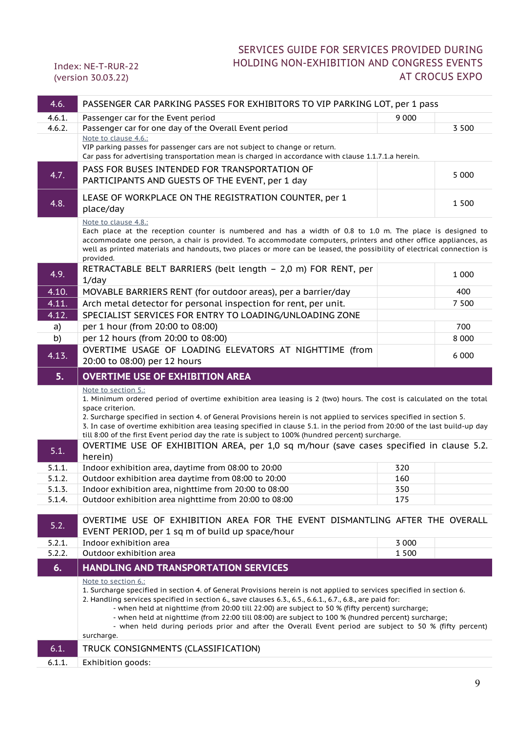| 4.6.           | PASSENGER CAR PARKING PASSES FOR EXHIBITORS TO VIP PARKING LOT, per 1 pass                                                                                                                                                                                                                                                                                                                                                                                                                                                                                                                                                    |         |         |
|----------------|-------------------------------------------------------------------------------------------------------------------------------------------------------------------------------------------------------------------------------------------------------------------------------------------------------------------------------------------------------------------------------------------------------------------------------------------------------------------------------------------------------------------------------------------------------------------------------------------------------------------------------|---------|---------|
| 4.6.1.         | Passenger car for the Event period                                                                                                                                                                                                                                                                                                                                                                                                                                                                                                                                                                                            | 9 0 0 0 |         |
| 4.6.2.         | Passenger car for one day of the Overall Event period                                                                                                                                                                                                                                                                                                                                                                                                                                                                                                                                                                         |         | 3 5 0 0 |
|                | Note to clause 4.6.:<br>VIP parking passes for passenger cars are not subject to change or return.<br>Car pass for advertising transportation mean is charged in accordance with clause 1.1.7.1.a herein.                                                                                                                                                                                                                                                                                                                                                                                                                     |         |         |
| 4.7.           | PASS FOR BUSES INTENDED FOR TRANSPORTATION OF<br>PARTICIPANTS AND GUESTS OF THE EVENT, per 1 day                                                                                                                                                                                                                                                                                                                                                                                                                                                                                                                              |         | 5 0 0 0 |
| 4.8.           | LEASE OF WORKPLACE ON THE REGISTRATION COUNTER, per 1<br>place/day                                                                                                                                                                                                                                                                                                                                                                                                                                                                                                                                                            |         | 1 500   |
|                | Note to clause 4.8.:<br>Each place at the reception counter is numbered and has a width of 0.8 to 1.0 m. The place is designed to<br>accommodate one person, a chair is provided. To accommodate computers, printers and other office appliances, as<br>well as printed materials and handouts, two places or more can be leased, the possibility of electrical connection is<br>provided.                                                                                                                                                                                                                                    |         |         |
| 4.9.           | RETRACTABLE BELT BARRIERS (belt length - 2,0 m) FOR RENT, per<br>$1$ /day                                                                                                                                                                                                                                                                                                                                                                                                                                                                                                                                                     |         | 1 0 0 0 |
| 4.10.          | MOVABLE BARRIERS RENT (for outdoor areas), per a barrier/day                                                                                                                                                                                                                                                                                                                                                                                                                                                                                                                                                                  |         | 400     |
| 4.11.          | Arch metal detector for personal inspection for rent, per unit.                                                                                                                                                                                                                                                                                                                                                                                                                                                                                                                                                               |         | 7 500   |
| 4.12.          | SPECIALIST SERVICES FOR ENTRY TO LOADING/UNLOADING ZONE                                                                                                                                                                                                                                                                                                                                                                                                                                                                                                                                                                       |         |         |
| a)             | per 1 hour (from 20:00 to 08:00)                                                                                                                                                                                                                                                                                                                                                                                                                                                                                                                                                                                              |         | 700     |
| b)             | per 12 hours (from 20:00 to 08:00)                                                                                                                                                                                                                                                                                                                                                                                                                                                                                                                                                                                            |         | 8 0 0 0 |
| 4.13.          | OVERTIME USAGE OF LOADING ELEVATORS AT NIGHTTIME (from<br>20:00 to 08:00) per 12 hours                                                                                                                                                                                                                                                                                                                                                                                                                                                                                                                                        |         | 6 0 0 0 |
| 5.             | <b>OVERTIME USE OF EXHIBITION AREA</b>                                                                                                                                                                                                                                                                                                                                                                                                                                                                                                                                                                                        |         |         |
|                |                                                                                                                                                                                                                                                                                                                                                                                                                                                                                                                                                                                                                               |         |         |
| 5.1.           | Note to section 5.:<br>1. Minimum ordered period of overtime exhibition area leasing is 2 (two) hours. The cost is calculated on the total<br>space criterion.<br>2. Surcharge specified in section 4. of General Provisions herein is not applied to services specified in section 5.<br>3. In case of overtime exhibition area leasing specified in clause 5.1. in the period from 20:00 of the last build-up day<br>till 8:00 of the first Event period day the rate is subject to 100% (hundred percent) surcharge.<br>OVERTIME USE OF EXHIBITION AREA, per 1,0 sq m/hour (save cases specified in clause 5.2.<br>herein) |         |         |
| 5.1.1.         | Indoor exhibition area, daytime from 08:00 to 20:00                                                                                                                                                                                                                                                                                                                                                                                                                                                                                                                                                                           | 320     |         |
| 5.1.2.         | Outdoor exhibition area daytime from 08:00 to 20:00                                                                                                                                                                                                                                                                                                                                                                                                                                                                                                                                                                           | 160     |         |
| 5.1.3.         | Indoor exhibition area, nighttime from 20:00 to 08:00                                                                                                                                                                                                                                                                                                                                                                                                                                                                                                                                                                         | 350     |         |
| 5.1.4.         | Outdoor exhibition area nighttime from 20:00 to 08:00                                                                                                                                                                                                                                                                                                                                                                                                                                                                                                                                                                         | 175     |         |
| 5.2.           | OVERTIME USE OF EXHIBITION AREA FOR THE EVENT DISMANTLING AFTER THE OVERALL<br>EVENT PERIOD, per 1 sq m of build up space/hour                                                                                                                                                                                                                                                                                                                                                                                                                                                                                                |         |         |
| 5.2.1.         | Indoor exhibition area                                                                                                                                                                                                                                                                                                                                                                                                                                                                                                                                                                                                        | 3 0 0 0 |         |
| 5.2.2.         | Outdoor exhibition area                                                                                                                                                                                                                                                                                                                                                                                                                                                                                                                                                                                                       | 1 500   |         |
| 6.             | <b>HANDLING AND TRANSPORTATION SERVICES</b>                                                                                                                                                                                                                                                                                                                                                                                                                                                                                                                                                                                   |         |         |
|                | Note to section 6.:<br>1. Surcharge specified in section 4. of General Provisions herein is not applied to services specified in section 6.<br>2. Handling services specified in section 6., save clauses 6.3., 6.5., 6.6.1., 6.7., 6.8., are paid for:<br>- when held at nighttime (from 20:00 till 22:00) are subject to 50 % (fifty percent) surcharge;<br>- when held at nighttime (from 22:00 till 08:00) are subject to 100 % (hundred percent) surcharge;<br>- when held during periods prior and after the Overall Event period are subject to 50 % (fifty percent)<br>surcharge.                                     |         |         |
| 6.1.<br>6.1.1. | TRUCK CONSIGNMENTS (CLASSIFICATION)<br>Exhibition goods:                                                                                                                                                                                                                                                                                                                                                                                                                                                                                                                                                                      |         |         |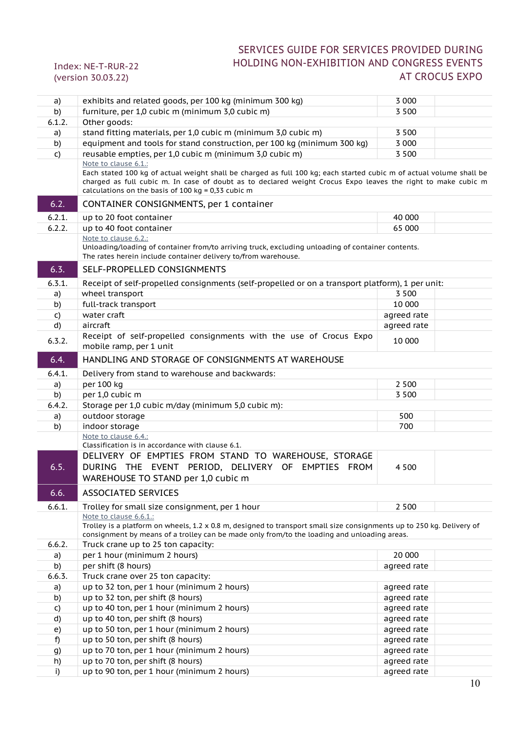| a)           | exhibits and related goods, per 100 kg (minimum 300 kg)                                                                                                                                                                                                                                                             | 3 0 0 0     |                |
|--------------|---------------------------------------------------------------------------------------------------------------------------------------------------------------------------------------------------------------------------------------------------------------------------------------------------------------------|-------------|----------------|
| b)           | furniture, per 1,0 cubic m (minimum 3,0 cubic m)                                                                                                                                                                                                                                                                    | 3 5 0 0     |                |
| 6.1.2.       | Other goods:                                                                                                                                                                                                                                                                                                        |             |                |
| a)           | stand fitting materials, per 1,0 cubic m (minimum 3,0 cubic m)                                                                                                                                                                                                                                                      | 3 5 0 0     |                |
| b)           | equipment and tools for stand construction, per 100 kg (minimum 300 kg)                                                                                                                                                                                                                                             | 3 0 0 0     |                |
| $\mathsf{C}$ | reusable empties, per 1,0 cubic m (minimum 3,0 cubic m)                                                                                                                                                                                                                                                             | 3 500       |                |
|              | Note to clause 6.1.:<br>Each stated 100 kg of actual weight shall be charged as full 100 kg; each started cubic m of actual volume shall be<br>charged as full cubic m. In case of doubt as to declared weight Crocus Expo leaves the right to make cubic m<br>calculations on the basis of 100 kg = $0,33$ cubic m |             |                |
| 6.2.         | CONTAINER CONSIGNMENTS, per 1 container                                                                                                                                                                                                                                                                             |             |                |
| 6.2.1.       | up to 20 foot container                                                                                                                                                                                                                                                                                             | 40 000      |                |
| 6.2.2.       | up to 40 foot container                                                                                                                                                                                                                                                                                             | 65 000      |                |
|              | Note to clause 6.2.:<br>Unloading/loading of container from/to arriving truck, excluding unloading of container contents.<br>The rates herein include container delivery to/from warehouse.                                                                                                                         |             |                |
| 6.3.         | SELF-PROPELLED CONSIGNMENTS                                                                                                                                                                                                                                                                                         |             |                |
| 6.3.1.       | Receipt of self-propelled consignments (self-propelled or on a transport platform), 1 per unit:                                                                                                                                                                                                                     |             |                |
| a)           | wheel transport                                                                                                                                                                                                                                                                                                     | 3 500       |                |
| b)           | full-track transport                                                                                                                                                                                                                                                                                                | 10 000      |                |
| C)           | water craft                                                                                                                                                                                                                                                                                                         | agreed rate |                |
| d)           | aircraft                                                                                                                                                                                                                                                                                                            | agreed rate |                |
| 6.3.2.       | Receipt of self-propelled consignments with the use of Crocus Expo<br>mobile ramp, per 1 unit                                                                                                                                                                                                                       | 10 000      |                |
| 6.4.         | HANDLING AND STORAGE OF CONSIGNMENTS AT WAREHOUSE                                                                                                                                                                                                                                                                   |             |                |
| 6.4.1.       | Delivery from stand to warehouse and backwards:                                                                                                                                                                                                                                                                     |             |                |
| a)           | per 100 kg                                                                                                                                                                                                                                                                                                          | 2 5 0 0     |                |
| b)           | per 1,0 cubic m                                                                                                                                                                                                                                                                                                     | 3 500       |                |
| 6.4.2.       | Storage per 1,0 cubic m/day (minimum 5,0 cubic m):                                                                                                                                                                                                                                                                  |             |                |
| a)           | outdoor storage                                                                                                                                                                                                                                                                                                     | 500         |                |
| b)           | indoor storage                                                                                                                                                                                                                                                                                                      | 700         |                |
|              | Note to clause 6.4.:                                                                                                                                                                                                                                                                                                |             |                |
| 6.5.         | Classification is in accordance with clause 6.1.<br>DELIVERY OF EMPTIES FROM STAND TO WAREHOUSE, STORAGE<br>DURING THE EVENT PERIOD, DELIVERY OF EMPTIES FROM<br>WAREHOUSE TO STAND per 1,0 cubic m                                                                                                                 | 4 5 0 0     |                |
| 6.6.         | ASSOCIATED SERVICES                                                                                                                                                                                                                                                                                                 |             |                |
| 6.6.1.       | Trolley for small size consignment, per 1 hour                                                                                                                                                                                                                                                                      | 2 5 0 0     |                |
| 6.6.2.       | Note to clause 6.6.1.:<br>Trolley is a platform on wheels, 1.2 x 0.8 m, designed to transport small size consignments up to 250 kg. Delivery of<br>consignment by means of a trolley can be made only from/to the loading and unloading areas.<br>Truck crane up to 25 ton capacity:                                |             |                |
| a)           | per 1 hour (minimum 2 hours)                                                                                                                                                                                                                                                                                        | 20 000      |                |
| b)           | per shift (8 hours)                                                                                                                                                                                                                                                                                                 | agreed rate |                |
| 6.6.3.       | Truck crane over 25 ton capacity:                                                                                                                                                                                                                                                                                   |             |                |
| a)           | up to 32 ton, per 1 hour (minimum 2 hours)                                                                                                                                                                                                                                                                          | agreed rate |                |
| b)           | up to 32 ton, per shift (8 hours)                                                                                                                                                                                                                                                                                   | agreed rate |                |
| C)           | up to 40 ton, per 1 hour (minimum 2 hours)                                                                                                                                                                                                                                                                          | agreed rate |                |
| d)           | up to 40 ton, per shift (8 hours)                                                                                                                                                                                                                                                                                   | agreed rate |                |
| e)           | up to 50 ton, per 1 hour (minimum 2 hours)                                                                                                                                                                                                                                                                          | agreed rate |                |
| f)           | up to 50 ton, per shift (8 hours)                                                                                                                                                                                                                                                                                   | agreed rate |                |
| g)           | up to 70 ton, per 1 hour (minimum 2 hours)                                                                                                                                                                                                                                                                          | agreed rate |                |
| h)           | up to 70 ton, per shift (8 hours)                                                                                                                                                                                                                                                                                   | agreed rate |                |
| i)           | up to 90 ton, per 1 hour (minimum 2 hours)                                                                                                                                                                                                                                                                          | agreed rate |                |
|              |                                                                                                                                                                                                                                                                                                                     |             | 1 <sub>0</sub> |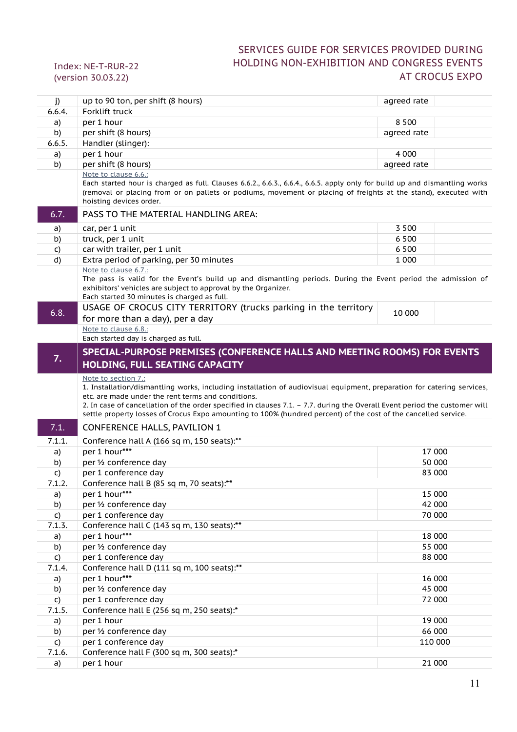| j)                     |                                                                                                                                                                                                                                                                                                                                   |             |  |
|------------------------|-----------------------------------------------------------------------------------------------------------------------------------------------------------------------------------------------------------------------------------------------------------------------------------------------------------------------------------|-------------|--|
|                        | up to 90 ton, per shift (8 hours)                                                                                                                                                                                                                                                                                                 | agreed rate |  |
| 6.6.4.                 | Forklift truck                                                                                                                                                                                                                                                                                                                    |             |  |
| a)                     | per 1 hour                                                                                                                                                                                                                                                                                                                        | 8 5 0 0     |  |
| b)                     | per shift (8 hours)                                                                                                                                                                                                                                                                                                               | agreed rate |  |
| 6.6.5.                 | Handler (slinger):                                                                                                                                                                                                                                                                                                                |             |  |
| a)                     | per 1 hour                                                                                                                                                                                                                                                                                                                        | 4 0 0 0     |  |
| b)                     | per shift (8 hours)                                                                                                                                                                                                                                                                                                               | agreed rate |  |
|                        | Note to clause 6.6.:<br>Each started hour is charged as full. Clauses 6.6.2., 6.6.3., 6.6.4., 6.6.5. apply only for build up and dismantling works<br>(removal or placing from or on pallets or podiums, movement or placing of freights at the stand), executed with<br>hoisting devices order.                                  |             |  |
| 6.7.                   | PASS TO THE MATERIAL HANDLING AREA:                                                                                                                                                                                                                                                                                               |             |  |
| a)                     | car, per 1 unit                                                                                                                                                                                                                                                                                                                   | 3 5 0 0     |  |
| b)                     | truck, per 1 unit                                                                                                                                                                                                                                                                                                                 | 6 5 0 0     |  |
| C)                     | car with trailer, per 1 unit                                                                                                                                                                                                                                                                                                      | 6 5 0 0     |  |
| d)                     | Extra period of parking, per 30 minutes                                                                                                                                                                                                                                                                                           | 1 0 0 0     |  |
|                        | Note to clause 6.7.:<br>The pass is valid for the Event's build up and dismantling periods. During the Event period the admission of<br>exhibitors' vehicles are subject to approval by the Organizer.<br>Each started 30 minutes is charged as full.                                                                             |             |  |
| 6.8.                   | USAGE OF CROCUS CITY TERRITORY (trucks parking in the territory<br>for more than a day), per a day                                                                                                                                                                                                                                | 10 000      |  |
|                        | Note to clause 6.8.:                                                                                                                                                                                                                                                                                                              |             |  |
|                        | Each started day is charged as full.                                                                                                                                                                                                                                                                                              |             |  |
| 7.                     | SPECIAL-PURPOSE PREMISES (CONFERENCE HALLS AND MEETING ROOMS) FOR EVENTS<br>HOLDING, FULL SEATING CAPACITY                                                                                                                                                                                                                        |             |  |
|                        | Note to section 7.:<br>1. Installation/dismantling works, including installation of audiovisual equipment, preparation for catering services,<br>etc. are made under the rent terms and conditions.<br>2. In case of cancellation of the order specified in clauses 7.1. - 7.7. during the Overall Event period the customer will |             |  |
| 7.1.                   | settle property losses of Crocus Expo amounting to 100% (hundred percent) of the cost of the cancelled service.                                                                                                                                                                                                                   |             |  |
| 7.1.1.                 | <b>CONFERENCE HALLS, PAVILION 1</b>                                                                                                                                                                                                                                                                                               |             |  |
| a)                     |                                                                                                                                                                                                                                                                                                                                   |             |  |
|                        | Conference hall A (166 sq m, 150 seats):**<br>per 1 hour***                                                                                                                                                                                                                                                                       | 17 000      |  |
| b)                     | per 1/2 conference day                                                                                                                                                                                                                                                                                                            | 50 000      |  |
| C)                     | per 1 conference day                                                                                                                                                                                                                                                                                                              | 83 000      |  |
| 7.1.2.                 | Conference hall B (85 sq m, 70 seats):**                                                                                                                                                                                                                                                                                          |             |  |
| a)                     | per 1 hour***                                                                                                                                                                                                                                                                                                                     | 15 000      |  |
| b)                     | per 1/2 conference day                                                                                                                                                                                                                                                                                                            | 42 000      |  |
|                        | per 1 conference day                                                                                                                                                                                                                                                                                                              | 70 000      |  |
| $\mathsf{C}$<br>7.1.3. | Conference hall C (143 sq m, 130 seats):**                                                                                                                                                                                                                                                                                        |             |  |
|                        | per 1 hour***                                                                                                                                                                                                                                                                                                                     | 18 000      |  |
| a)<br>b)               | per 1/2 conference day                                                                                                                                                                                                                                                                                                            | 55 000      |  |
|                        | per 1 conference day                                                                                                                                                                                                                                                                                                              | 88 000      |  |
| $\mathsf{C}$<br>7.1.4. | Conference hall D (111 sq m, 100 seats):**                                                                                                                                                                                                                                                                                        |             |  |
|                        | per 1 hour***                                                                                                                                                                                                                                                                                                                     | 16 000      |  |
| a)<br>b)               | per 1/2 conference day                                                                                                                                                                                                                                                                                                            | 45 000      |  |
| C)                     | per 1 conference day                                                                                                                                                                                                                                                                                                              | 72 000      |  |
| 7.1.5.                 | Conference hall E (256 sq m, 250 seats):*                                                                                                                                                                                                                                                                                         |             |  |
| a)                     | per 1 hour                                                                                                                                                                                                                                                                                                                        | 19 000      |  |
| b)                     | per 1/2 conference day                                                                                                                                                                                                                                                                                                            | 66 000      |  |
| $\mathsf{C}$           | per 1 conference day                                                                                                                                                                                                                                                                                                              | 110 000     |  |
| 7.1.6.                 | Conference hall F (300 sq m, 300 seats):*                                                                                                                                                                                                                                                                                         |             |  |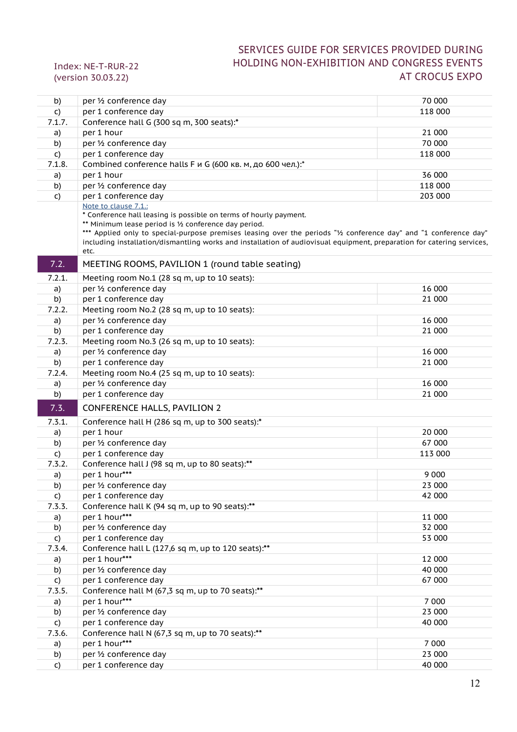| b)           | per 1/2 conference day                                                                                                                                                                                                                                                                                                                                                                                    | 70 000  |
|--------------|-----------------------------------------------------------------------------------------------------------------------------------------------------------------------------------------------------------------------------------------------------------------------------------------------------------------------------------------------------------------------------------------------------------|---------|
| $\mathsf{C}$ | per 1 conference day                                                                                                                                                                                                                                                                                                                                                                                      | 118 000 |
| 7.1.7.       | Conference hall G (300 sq m, 300 seats):*                                                                                                                                                                                                                                                                                                                                                                 |         |
| a)           | per 1 hour                                                                                                                                                                                                                                                                                                                                                                                                | 21 000  |
| b)           | per 1/2 conference day                                                                                                                                                                                                                                                                                                                                                                                    | 70 000  |
| C)           | per 1 conference day                                                                                                                                                                                                                                                                                                                                                                                      | 118 000 |
| 7.1.8.       | Combined conference halls F и G (600 кв. м, до 600 чел.):*                                                                                                                                                                                                                                                                                                                                                |         |
| a)           | per 1 hour                                                                                                                                                                                                                                                                                                                                                                                                | 36 000  |
| b)           | per 1/2 conference day                                                                                                                                                                                                                                                                                                                                                                                    | 118 000 |
| C)           | per 1 conference day                                                                                                                                                                                                                                                                                                                                                                                      | 203 000 |
|              | Note to clause 7.1.:<br>* Conference hall leasing is possible on terms of hourly payment.<br>** Minimum lease period is 1/2 conference day period.<br>*** Applied only to special-purpose premises leasing over the periods "1/2 conference day" and "1 conference day"<br>including installation/dismantling works and installation of audiovisual equipment, preparation for catering services,<br>etc. |         |
| 7.2.         | MEETING ROOMS, PAVILION 1 (round table seating)                                                                                                                                                                                                                                                                                                                                                           |         |
| 7.2.1.       | Meeting room No.1 (28 sq m, up to 10 seats):                                                                                                                                                                                                                                                                                                                                                              |         |
| a)           | per 1/2 conference day                                                                                                                                                                                                                                                                                                                                                                                    | 16 000  |
| b)           | per 1 conference day                                                                                                                                                                                                                                                                                                                                                                                      | 21 000  |
| 7.2.2.       | Meeting room No.2 (28 sq m, up to 10 seats):                                                                                                                                                                                                                                                                                                                                                              |         |
| a)           | per 1/2 conference day                                                                                                                                                                                                                                                                                                                                                                                    | 16 000  |
| b)           | per 1 conference day                                                                                                                                                                                                                                                                                                                                                                                      | 21 000  |
| 7.2.3.       | Meeting room No.3 (26 sq m, up to 10 seats):                                                                                                                                                                                                                                                                                                                                                              |         |
| a)           | per 1/2 conference day                                                                                                                                                                                                                                                                                                                                                                                    | 16 000  |
| b)           | per 1 conference day                                                                                                                                                                                                                                                                                                                                                                                      | 21 000  |
| 7.2.4.       | Meeting room No.4 (25 sq m, up to 10 seats):                                                                                                                                                                                                                                                                                                                                                              |         |
| a)           | per 1/2 conference day                                                                                                                                                                                                                                                                                                                                                                                    | 16 000  |
| b)           | per 1 conference day                                                                                                                                                                                                                                                                                                                                                                                      | 21 000  |
| 7.3.         | <b>CONFERENCE HALLS, PAVILION 2</b>                                                                                                                                                                                                                                                                                                                                                                       |         |
| 7.3.1.       | Conference hall H (286 sq m, up to 300 seats):*                                                                                                                                                                                                                                                                                                                                                           |         |
| a)           | per 1 hour                                                                                                                                                                                                                                                                                                                                                                                                | 20 000  |
| b)           | per 1/2 conference day                                                                                                                                                                                                                                                                                                                                                                                    | 67 000  |
| C)           | per 1 conference day                                                                                                                                                                                                                                                                                                                                                                                      | 113 000 |
| 7.3.2.       | Conference hall J (98 sq m, up to 80 seats):**                                                                                                                                                                                                                                                                                                                                                            |         |
| a)           | per 1 hour***                                                                                                                                                                                                                                                                                                                                                                                             | 9 0 0 0 |
| b)           | per 1/2 conference day                                                                                                                                                                                                                                                                                                                                                                                    | 23 000  |
| $\mathsf{C}$ | per 1 conference day                                                                                                                                                                                                                                                                                                                                                                                      | 42 000  |
| 7.3.3.       | Conference hall K (94 sq m, up to 90 seats):**                                                                                                                                                                                                                                                                                                                                                            |         |
| a)           | per 1 hour***                                                                                                                                                                                                                                                                                                                                                                                             | 11 000  |
| b)           | per 1/2 conference day                                                                                                                                                                                                                                                                                                                                                                                    | 32 000  |
| C)           | per 1 conference day                                                                                                                                                                                                                                                                                                                                                                                      | 53 000  |
| 7.3.4.       | Conference hall L (127,6 sq m, up to 120 seats):**                                                                                                                                                                                                                                                                                                                                                        |         |
| a)           | per 1 hour***                                                                                                                                                                                                                                                                                                                                                                                             | 12 000  |
| b)           | per 1/2 conference day                                                                                                                                                                                                                                                                                                                                                                                    | 40 000  |
| $\mathsf{C}$ | per 1 conference day                                                                                                                                                                                                                                                                                                                                                                                      | 67 000  |
| 7.3.5.       | Conference hall M (67,3 sq m, up to 70 seats):**<br>per 1 hour***                                                                                                                                                                                                                                                                                                                                         | 7 0 0 0 |
| a)           | per 1/2 conference day                                                                                                                                                                                                                                                                                                                                                                                    | 23 000  |
| b)           | per 1 conference day                                                                                                                                                                                                                                                                                                                                                                                      | 40 000  |
| C)<br>7.3.6. | Conference hall N (67,3 sq m, up to 70 seats):**                                                                                                                                                                                                                                                                                                                                                          |         |
| a)           | per 1 hour***                                                                                                                                                                                                                                                                                                                                                                                             | 7 0 0 0 |
| b)           | per 1/2 conference day                                                                                                                                                                                                                                                                                                                                                                                    | 23 000  |
| $\mathsf{C}$ | per 1 conference day                                                                                                                                                                                                                                                                                                                                                                                      | 40 000  |
|              |                                                                                                                                                                                                                                                                                                                                                                                                           |         |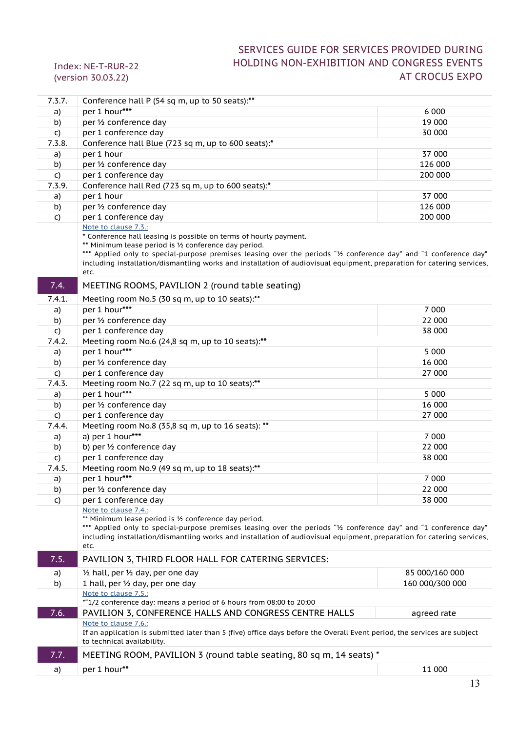| 7.3.7.       | Conference hall P (54 sq m, up to 50 seats):**                                                                                                                                                                                                                                                                                                                                                            |                 |
|--------------|-----------------------------------------------------------------------------------------------------------------------------------------------------------------------------------------------------------------------------------------------------------------------------------------------------------------------------------------------------------------------------------------------------------|-----------------|
| a)           | per 1 hour***                                                                                                                                                                                                                                                                                                                                                                                             | 6 0 0 0         |
| b)           | per 1/2 conference day                                                                                                                                                                                                                                                                                                                                                                                    | 19 000          |
| C)           | per 1 conference day                                                                                                                                                                                                                                                                                                                                                                                      | 30 000          |
| 7.3.8.       | Conference hall Blue (723 sq m, up to 600 seats):*                                                                                                                                                                                                                                                                                                                                                        |                 |
| a)           | per 1 hour                                                                                                                                                                                                                                                                                                                                                                                                | 37 000          |
| b)           | per 1/2 conference day                                                                                                                                                                                                                                                                                                                                                                                    | 126 000         |
| $\mathsf{C}$ | per 1 conference day                                                                                                                                                                                                                                                                                                                                                                                      | 200 000         |
| 7.3.9.       | Conference hall Red (723 sq m, up to 600 seats):*                                                                                                                                                                                                                                                                                                                                                         |                 |
| a)           | per 1 hour                                                                                                                                                                                                                                                                                                                                                                                                | 37 000          |
| b)           | per 1/2 conference day                                                                                                                                                                                                                                                                                                                                                                                    | 126 000         |
| $\mathsf{C}$ | per 1 conference day                                                                                                                                                                                                                                                                                                                                                                                      | 200 000         |
|              | Note to clause 7.3.:<br>* Conference hall leasing is possible on terms of hourly payment.<br>** Minimum lease period is 1/2 conference day period.<br>*** Applied only to special-purpose premises leasing over the periods "1/2 conference day" and "1 conference day"<br>including installation/dismantling works and installation of audiovisual equipment, preparation for catering services,<br>etc. |                 |
| 7.4.         | MEETING ROOMS, PAVILION 2 (round table seating)                                                                                                                                                                                                                                                                                                                                                           |                 |
| 7.4.1.       | Meeting room No.5 (30 sq m, up to 10 seats):**                                                                                                                                                                                                                                                                                                                                                            |                 |
| a)           | per 1 hour***                                                                                                                                                                                                                                                                                                                                                                                             | 7 0 0 0         |
| b)           | per 1/2 conference day                                                                                                                                                                                                                                                                                                                                                                                    | 22 000          |
| $\mathsf{C}$ | per 1 conference day                                                                                                                                                                                                                                                                                                                                                                                      | 38 000          |
| 7.4.2.       | Meeting room No.6 (24,8 sq m, up to 10 seats):**                                                                                                                                                                                                                                                                                                                                                          |                 |
| a)           | per 1 hour***                                                                                                                                                                                                                                                                                                                                                                                             | 5 0 0 0         |
| b)           | per 1/2 conference day                                                                                                                                                                                                                                                                                                                                                                                    | 16 000          |
| $\mathsf{C}$ | per 1 conference day                                                                                                                                                                                                                                                                                                                                                                                      | 27 000          |
| 7.4.3.       | Meeting room No.7 (22 sq m, up to 10 seats):**                                                                                                                                                                                                                                                                                                                                                            |                 |
| a)           | per 1 hour***                                                                                                                                                                                                                                                                                                                                                                                             | 5 0 0 0         |
| b)           | per 1/2 conference day                                                                                                                                                                                                                                                                                                                                                                                    | 16 000          |
| $\mathsf{C}$ | per 1 conference day                                                                                                                                                                                                                                                                                                                                                                                      | 27 000          |
| 7.4.4.       | Meeting room No.8 (35,8 sq m, up to 16 seats): **                                                                                                                                                                                                                                                                                                                                                         |                 |
| a)           | a) per 1 hour***                                                                                                                                                                                                                                                                                                                                                                                          | 7 0 0 0         |
| b)           | b) per 1/2 conference day                                                                                                                                                                                                                                                                                                                                                                                 | 22 000          |
| C)           | per 1 conference day                                                                                                                                                                                                                                                                                                                                                                                      | 38 000          |
| 7.4.5.       | Meeting room No.9 (49 sq m, up to 18 seats):**                                                                                                                                                                                                                                                                                                                                                            |                 |
| a)           | per 1 hour***                                                                                                                                                                                                                                                                                                                                                                                             | 7 0 0 0         |
| b)           | per 1/2 conference day                                                                                                                                                                                                                                                                                                                                                                                    | 22 000          |
| C)           | per 1 conference day                                                                                                                                                                                                                                                                                                                                                                                      | 38 000          |
|              | Note to clause 7.4.:<br>** Minimum lease period is 1/2 conference day period.<br>*** Applied only to special-purpose premises leasing over the periods "1/2 conference day" and "1 conference day"<br>including installation/dismantling works and installation of audiovisual equipment, preparation for catering services,<br>etc.                                                                      |                 |
| 7.5.         | PAVILION 3, THIRD FLOOR HALL FOR CATERING SERVICES:                                                                                                                                                                                                                                                                                                                                                       |                 |
| a)           | $\frac{1}{2}$ hall, per $\frac{1}{2}$ day, per one day                                                                                                                                                                                                                                                                                                                                                    | 85 000/160 000  |
| b)           | 1 hall, per 1/2 day, per one day                                                                                                                                                                                                                                                                                                                                                                          | 160 000/300 000 |
|              | Note to clause 7.5.:<br>*"1/2 conference day: means a period of 6 hours from 08:00 to 20:00                                                                                                                                                                                                                                                                                                               |                 |
| 7.6.         | PAVILION 3, CONFERENCE HALLS AND CONGRESS CENTRE HALLS                                                                                                                                                                                                                                                                                                                                                    | agreed rate     |
|              | Note to clause 7.6.:<br>If an application is submitted later than 5 (five) office days before the Overall Event period, the services are subject<br>to technical availability.                                                                                                                                                                                                                            |                 |
| 7.7.         | MEETING ROOM, PAVILION 3 (round table seating, 80 sq m, 14 seats) *                                                                                                                                                                                                                                                                                                                                       |                 |
| a)           | per 1 hour**                                                                                                                                                                                                                                                                                                                                                                                              | 11 000          |